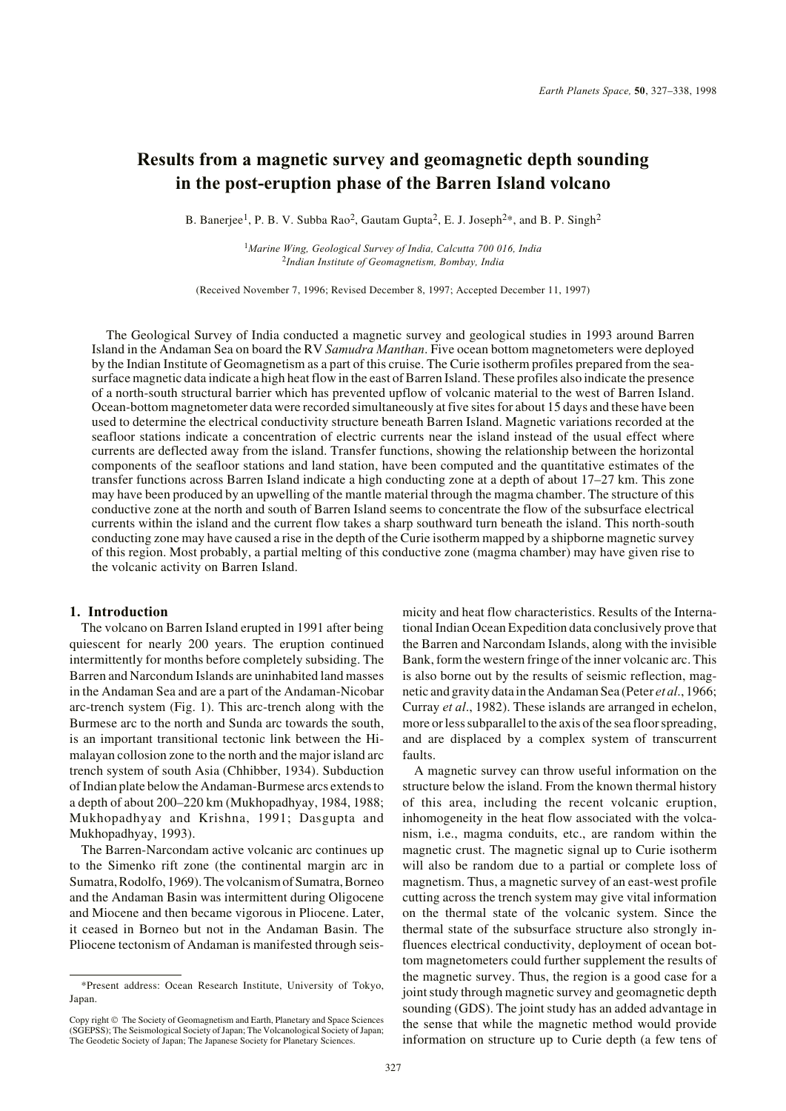# **Results from a magnetic survey and geomagnetic depth sounding in the post-eruption phase of the Barren Island volcano**

B. Banerjee<sup>1</sup>, P. B. V. Subba Rao<sup>2</sup>, Gautam Gupta<sup>2</sup>, E. J. Joseph<sup>2\*</sup>, and B. P. Singh<sup>2</sup>

<sup>1</sup>*Marine Wing, Geological Survey of India, Calcutta 700 016, India* <sup>2</sup>*Indian Institute of Geomagnetism, Bombay, India*

(Received November 7, 1996; Revised December 8, 1997; Accepted December 11, 1997)

The Geological Survey of India conducted a magnetic survey and geological studies in 1993 around Barren Island in the Andaman Sea on board the RV *Samudra Manthan*. Five ocean bottom magnetometers were deployed by the Indian Institute of Geomagnetism as a part of this cruise. The Curie isotherm profiles prepared from the seasurface magnetic data indicate a high heat flow in the east of Barren Island. These profiles also indicate the presence of a north-south structural barrier which has prevented upflow of volcanic material to the west of Barren Island. Ocean-bottom magnetometer data were recorded simultaneously at five sites for about 15 days and these have been used to determine the electrical conductivity structure beneath Barren Island. Magnetic variations recorded at the seafloor stations indicate a concentration of electric currents near the island instead of the usual effect where currents are deflected away from the island. Transfer functions, showing the relationship between the horizontal components of the seafloor stations and land station, have been computed and the quantitative estimates of the transfer functions across Barren Island indicate a high conducting zone at a depth of about 17–27 km. This zone may have been produced by an upwelling of the mantle material through the magma chamber. The structure of this conductive zone at the north and south of Barren Island seems to concentrate the flow of the subsurface electrical currents within the island and the current flow takes a sharp southward turn beneath the island. This north-south conducting zone may have caused a rise in the depth of the Curie isotherm mapped by a shipborne magnetic survey of this region. Most probably, a partial melting of this conductive zone (magma chamber) may have given rise to the volcanic activity on Barren Island.

# **1. Introduction**

The volcano on Barren Island erupted in 1991 after being quiescent for nearly 200 years. The eruption continued intermittently for months before completely subsiding. The Barren and Narcondum Islands are uninhabited land masses in the Andaman Sea and are a part of the Andaman-Nicobar arc-trench system (Fig. 1). This arc-trench along with the Burmese arc to the north and Sunda arc towards the south, is an important transitional tectonic link between the Himalayan collosion zone to the north and the major island arc trench system of south Asia (Chhibber, 1934). Subduction of Indian plate below the Andaman-Burmese arcs extends to a depth of about 200–220 km (Mukhopadhyay, 1984, 1988; Mukhopadhyay and Krishna, 1991; Dasgupta and Mukhopadhyay, 1993).

The Barren-Narcondam active volcanic arc continues up to the Simenko rift zone (the continental margin arc in Sumatra, Rodolfo, 1969). The volcanism of Sumatra, Borneo and the Andaman Basin was intermittent during Oligocene and Miocene and then became vigorous in Pliocene. Later, it ceased in Borneo but not in the Andaman Basin. The Pliocene tectonism of Andaman is manifested through seismicity and heat flow characteristics. Results of the International Indian Ocean Expedition data conclusively prove that the Barren and Narcondam Islands, along with the invisible Bank, form the western fringe of the inner volcanic arc. This is also borne out by the results of seismic reflection, magnetic and gravity data in the Andaman Sea (Peter *et al*., 1966; Curray *et al*., 1982). These islands are arranged in echelon, more or less subparallel to the axis of the sea floor spreading, and are displaced by a complex system of transcurrent faults.

A magnetic survey can throw useful information on the structure below the island. From the known thermal history of this area, including the recent volcanic eruption, inhomogeneity in the heat flow associated with the volcanism, i.e., magma conduits, etc., are random within the magnetic crust. The magnetic signal up to Curie isotherm will also be random due to a partial or complete loss of magnetism. Thus, a magnetic survey of an east-west profile cutting across the trench system may give vital information on the thermal state of the volcanic system. Since the thermal state of the subsurface structure also strongly influences electrical conductivity, deployment of ocean bottom magnetometers could further supplement the results of the magnetic survey. Thus, the region is a good case for a joint study through magnetic survey and geomagnetic depth sounding (GDS). The joint study has an added advantage in the sense that while the magnetic method would provide information on structure up to Curie depth (a few tens of

<sup>\*</sup>Present address: Ocean Research Institute, University of Tokyo, Japan.

Copy right © The Society of Geomagnetism and Earth, Planetary and Space Sciences (SGEPSS); The Seismological Society of Japan; The Volcanological Society of Japan; The Geodetic Society of Japan; The Japanese Society for Planetary Sciences.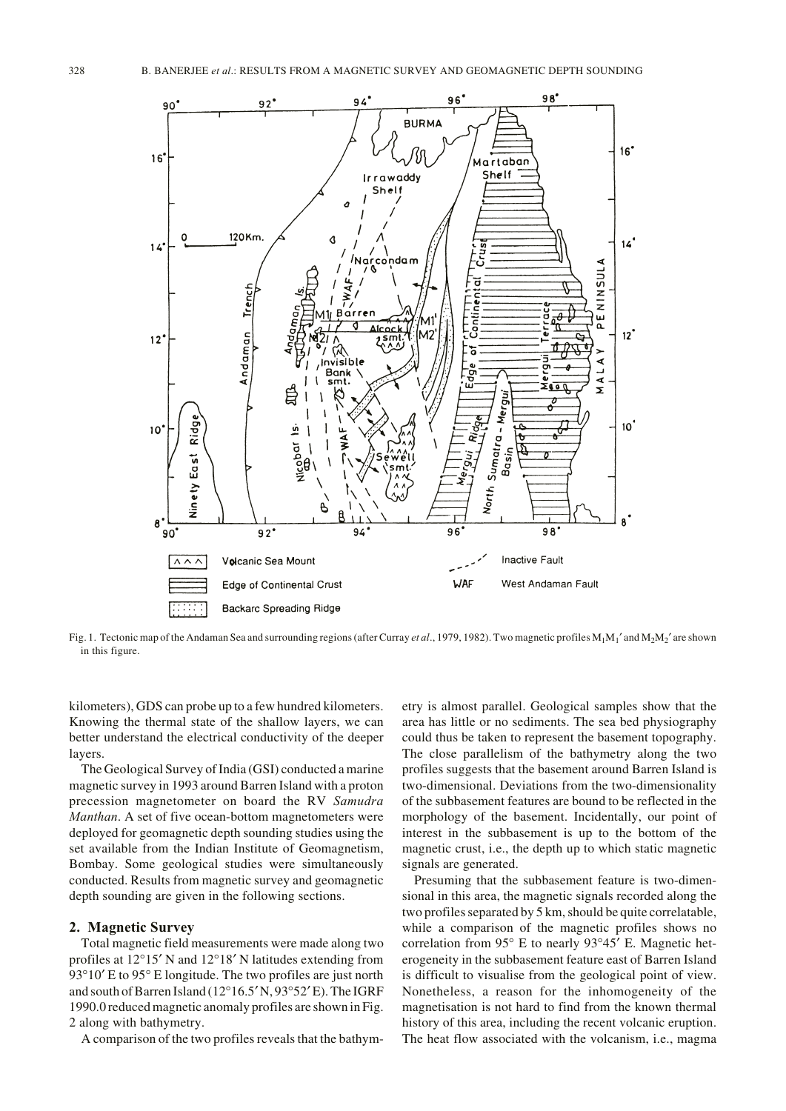

Fig. 1. Tectonic map of the Andaman Sea and surrounding regions (after Curray *et al*., 1979, 1982). Two magnetic profiles M1M1′ and M2M2′ are shown in this figure.

kilometers), GDS can probe up to a few hundred kilometers. Knowing the thermal state of the shallow layers, we can better understand the electrical conductivity of the deeper layers.

The Geological Survey of India (GSI) conducted a marine magnetic survey in 1993 around Barren Island with a proton precession magnetometer on board the RV *Samudra Manthan*. A set of five ocean-bottom magnetometers were deployed for geomagnetic depth sounding studies using the set available from the Indian Institute of Geomagnetism, Bombay. Some geological studies were simultaneously conducted. Results from magnetic survey and geomagnetic depth sounding are given in the following sections.

#### **2. Magnetic Survey**

Total magnetic field measurements were made along two profiles at 12°15′ N and 12°18′ N latitudes extending from 93°10′ E to 95° E longitude. The two profiles are just north and south of Barren Island (12°16.5′ N, 93°52′ E). The IGRF 1990.0 reduced magnetic anomaly profiles are shown in Fig. 2 along with bathymetry.

A comparison of the two profiles reveals that the bathym-

etry is almost parallel. Geological samples show that the area has little or no sediments. The sea bed physiography could thus be taken to represent the basement topography. The close parallelism of the bathymetry along the two profiles suggests that the basement around Barren Island is two-dimensional. Deviations from the two-dimensionality of the subbasement features are bound to be reflected in the morphology of the basement. Incidentally, our point of interest in the subbasement is up to the bottom of the magnetic crust, i.e., the depth up to which static magnetic signals are generated.

Presuming that the subbasement feature is two-dimensional in this area, the magnetic signals recorded along the two profiles separated by 5 km, should be quite correlatable, while a comparison of the magnetic profiles shows no correlation from 95° E to nearly 93°45′ E. Magnetic heterogeneity in the subbasement feature east of Barren Island is difficult to visualise from the geological point of view. Nonetheless, a reason for the inhomogeneity of the magnetisation is not hard to find from the known thermal history of this area, including the recent volcanic eruption. The heat flow associated with the volcanism, i.e., magma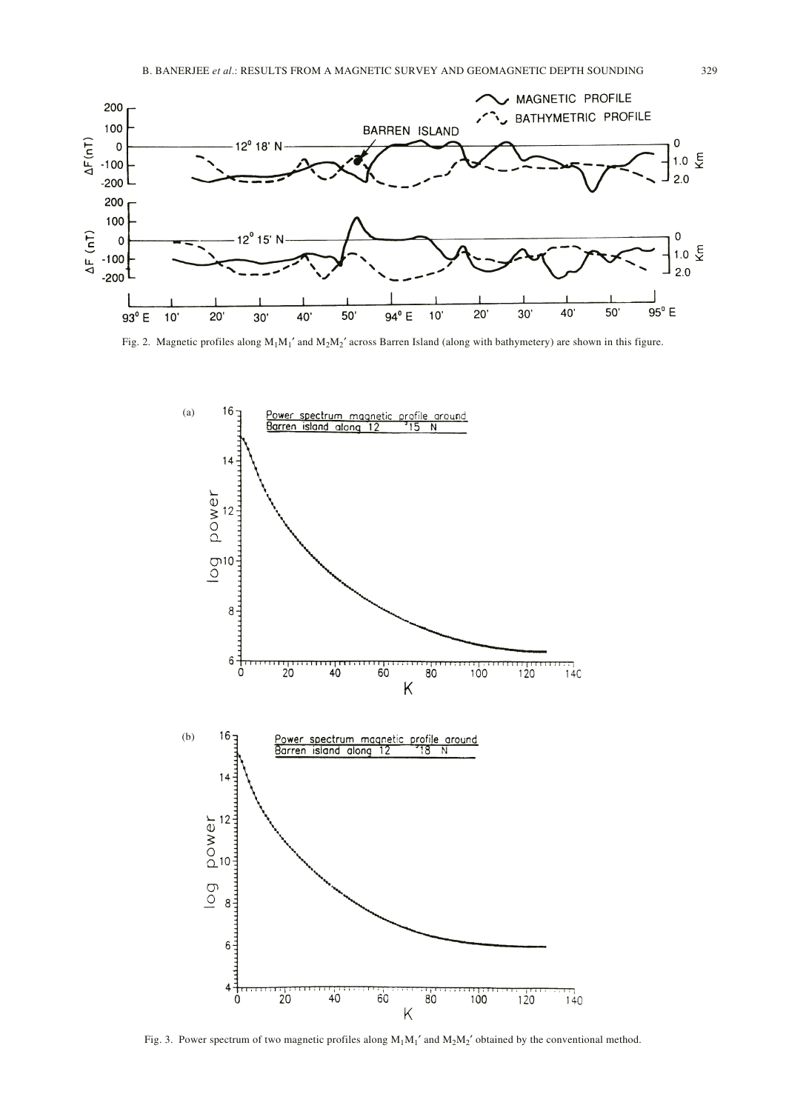

Fig. 2. Magnetic profiles along  $M_1M_1'$  and  $M_2M_2'$  across Barren Island (along with bathymetery) are shown in this figure.



Fig. 3. Power spectrum of two magnetic profiles along  $M_1M_1'$  and  $M_2M_2'$  obtained by the conventional method.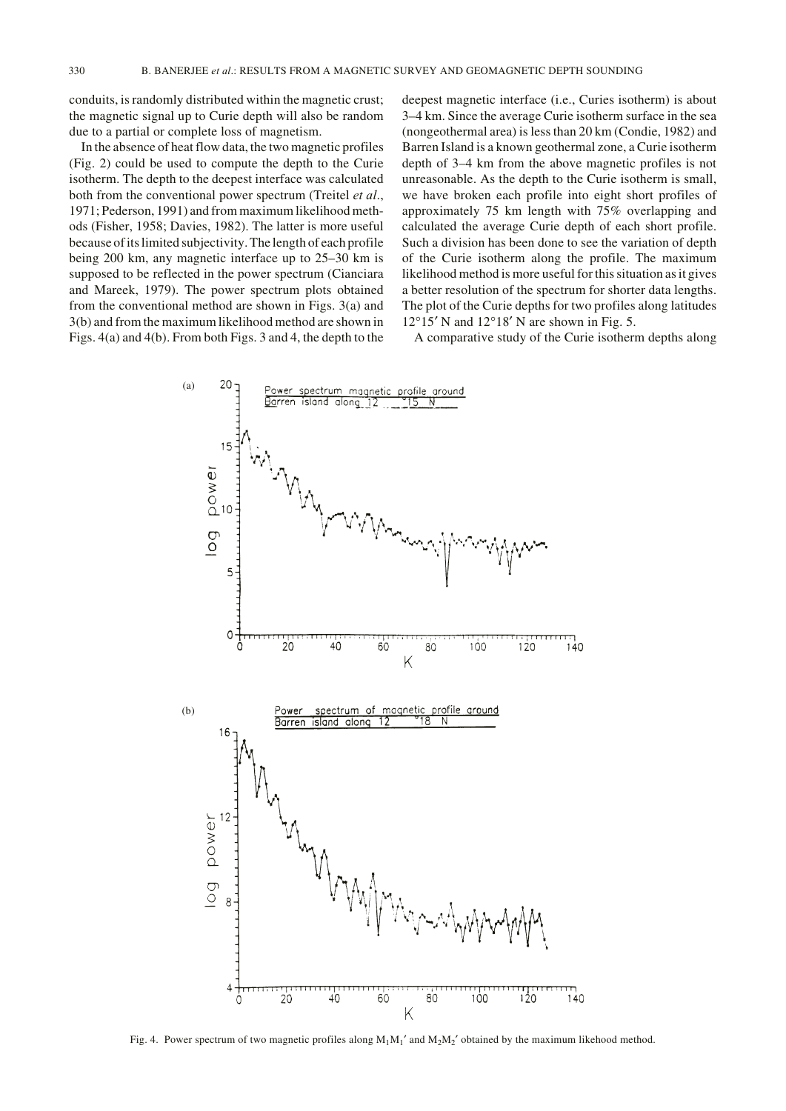conduits, is randomly distributed within the magnetic crust; the magnetic signal up to Curie depth will also be random due to a partial or complete loss of magnetism.

In the absence of heat flow data, the two magnetic profiles (Fig. 2) could be used to compute the depth to the Curie isotherm. The depth to the deepest interface was calculated both from the conventional power spectrum (Treitel *et al*., 1971; Pederson, 1991) and from maximum likelihood methods (Fisher, 1958; Davies, 1982). The latter is more useful because of its limited subjectivity. The length of each profile being 200 km, any magnetic interface up to 25–30 km is supposed to be reflected in the power spectrum (Cianciara and Mareek, 1979). The power spectrum plots obtained from the conventional method are shown in Figs. 3(a) and 3(b) and from the maximum likelihood method are shown in Figs. 4(a) and 4(b). From both Figs. 3 and 4, the depth to the deepest magnetic interface (i.e., Curies isotherm) is about 3–4 km. Since the average Curie isotherm surface in the sea (nongeothermal area) is less than 20 km (Condie, 1982) and Barren Island is a known geothermal zone, a Curie isotherm depth of 3–4 km from the above magnetic profiles is not unreasonable. As the depth to the Curie isotherm is small, we have broken each profile into eight short profiles of approximately 75 km length with 75% overlapping and calculated the average Curie depth of each short profile. Such a division has been done to see the variation of depth of the Curie isotherm along the profile. The maximum likelihood method is more useful for this situation as it gives a better resolution of the spectrum for shorter data lengths. The plot of the Curie depths for two profiles along latitudes  $12^{\circ}15'$  N and  $12^{\circ}18'$  N are shown in Fig. 5.

A comparative study of the Curie isotherm depths along



Fig. 4. Power spectrum of two magnetic profiles along  $M_1M_1'$  and  $M_2M_2'$  obtained by the maximum likehood method.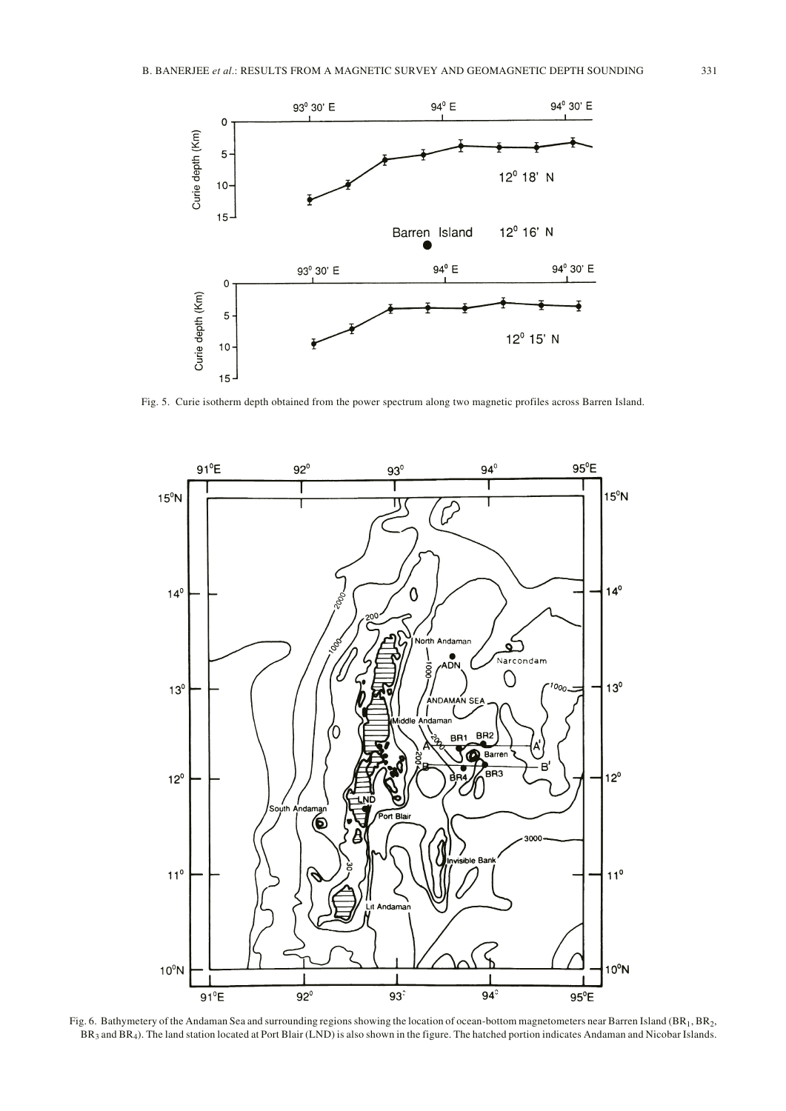

Fig. 5. Curie isotherm depth obtained from the power spectrum along two magnetic profiles across Barren Island.



Fig. 6. Bathymetery of the Andaman Sea and surrounding regions showing the location of ocean-bottom magnetometers near Barren Island (BR<sub>1</sub>, BR<sub>2</sub>, BR<sub>3</sub> and BR<sub>4</sub>). The land station located at Port Blair (LND) is also shown in the figure. The hatched portion indicates Andaman and Nicobar Islands.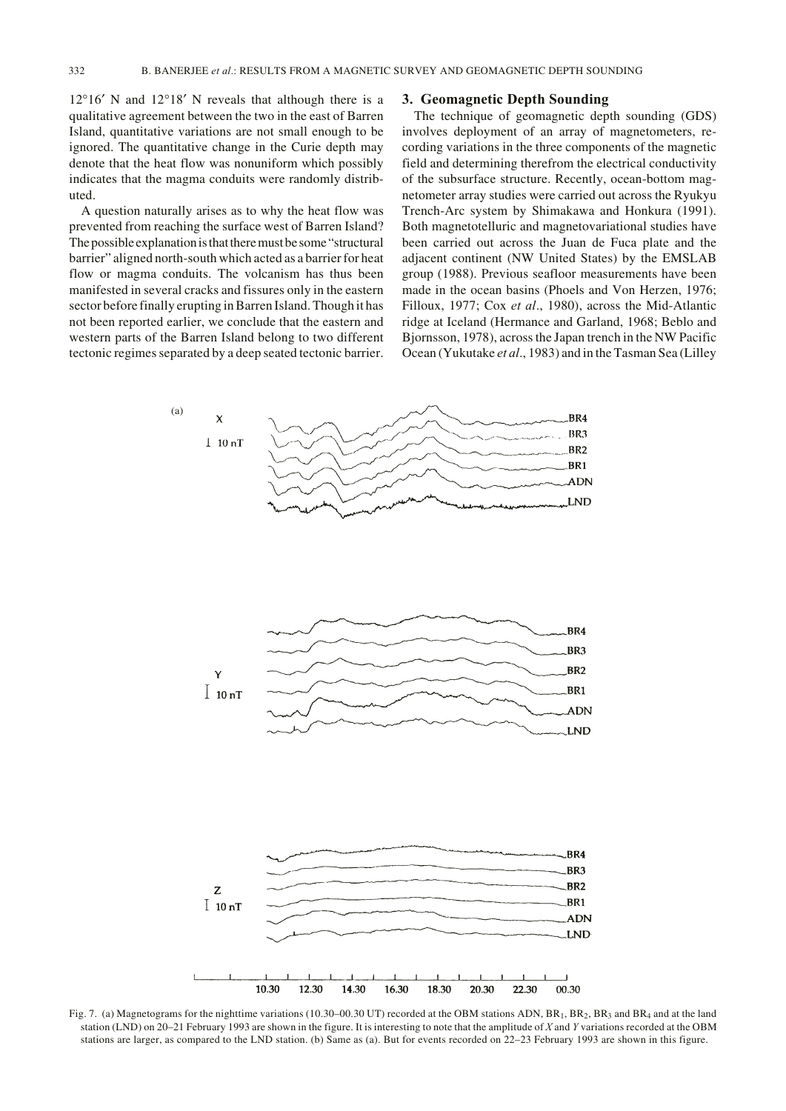12°16′ N and 12°18′ N reveals that although there is a qualitative agreement between the two in the east of Barren Island, quantitative variations are not small enough to be ignored. The quantitative change in the Curie depth may denote that the heat flow was nonuniform which possibly indicates that the magma conduits were randomly distributed.

A question naturally arises as to why the heat flow was prevented from reaching the surface west of Barren Island? The possible explanation is that there must be some "structural barrier" aligned north-south which acted as a barrier for heat flow or magma conduits. The volcanism has thus been manifested in several cracks and fissures only in the eastern sector before finally erupting in Barren Island. Though it has not been reported earlier, we conclude that the eastern and western parts of the Barren Island belong to two different tectonic regimes separated by a deep seated tectonic barrier.

## **3. Geomagnetic Depth Sounding**

The technique of geomagnetic depth sounding (GDS) involves deployment of an array of magnetometers, recording variations in the three components of the magnetic field and determining therefrom the electrical conductivity of the subsurface structure. Recently, ocean-bottom magnetometer array studies were carried out across the Ryukyu Trench-Arc system by Shimakawa and Honkura (1991). Both magnetotelluric and magnetovariational studies have been carried out across the Juan de Fuca plate and the adjacent continent (NW United States) by the EMSLAB group (1988). Previous seafloor measurements have been made in the ocean basins (Phoels and Von Herzen, 1976; Filloux, 1977; Cox *et al*., 1980), across the Mid-Atlantic ridge at Iceland (Hermance and Garland, 1968; Beblo and Bjornsson, 1978), across the Japan trench in the NW Pacific Ocean (Yukutake *et al*., 1983) and in the Tasman Sea (Lilley



Fig. 7. (a) Magnetograms for the nighttime variations (10.30–00.30 UT) recorded at the OBM stations ADN,  $BR_1$ ,  $BR_2$ ,  $BR_3$  and  $BR_4$  and at the land station (LND) on 20–21 February 1993 are shown in the figure. It is interesting to note that the amplitude of *X* and *Y* variations recorded at the OBM stations are larger, as compared to the LND station. (b) Same as (a). But for events recorded on 22–23 February 1993 are shown in this figure.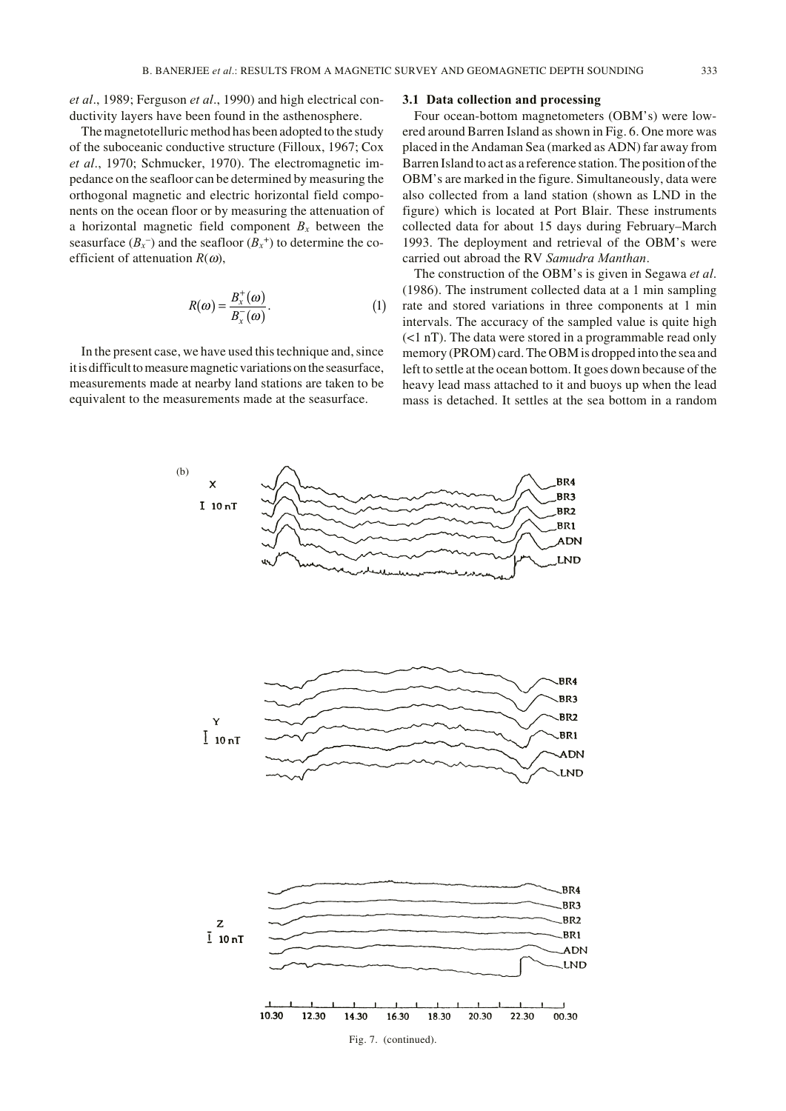*et al*., 1989; Ferguson *et al*., 1990) and high electrical conductivity layers have been found in the asthenosphere.

The magnetotelluric method has been adopted to the study of the suboceanic conductive structure (Filloux, 1967; Cox *et al*., 1970; Schmucker, 1970). The electromagnetic impedance on the seafloor can be determined by measuring the orthogonal magnetic and electric horizontal field components on the ocean floor or by measuring the attenuation of a horizontal magnetic field component  $B<sub>x</sub>$  between the seasurface  $(B_x^-)$  and the seafloor  $(B_x^+)$  to determine the coefficient of attenuation  $R(\omega)$ ,

$$
R(\omega) = \frac{B_x^+(\omega)}{B_x^-(\omega)}.
$$
 (1)

In the present case, we have used this technique and, since it is difficult to measure magnetic variations on the seasurface, measurements made at nearby land stations are taken to be equivalent to the measurements made at the seasurface.

## **3.1 Data collection and processing**

Four ocean-bottom magnetometers (OBM's) were lowered around Barren Island as shown in Fig. 6. One more was placed in the Andaman Sea (marked as ADN) far away from Barren Island to act as a reference station. The position of the OBM's are marked in the figure. Simultaneously, data were also collected from a land station (shown as LND in the figure) which is located at Port Blair. These instruments collected data for about 15 days during February–March 1993. The deployment and retrieval of the OBM's were carried out abroad the RV *Samudra Manthan*.

The construction of the OBM's is given in Segawa *et al*. (1986). The instrument collected data at a 1 min sampling rate and stored variations in three components at 1 min intervals. The accuracy of the sampled value is quite high (<1 nT). The data were stored in a programmable read only memory (PROM) card. The OBM is dropped into the sea and left to settle at the ocean bottom. It goes down because of the heavy lead mass attached to it and buoys up when the lead mass is detached. It settles at the sea bottom in a random

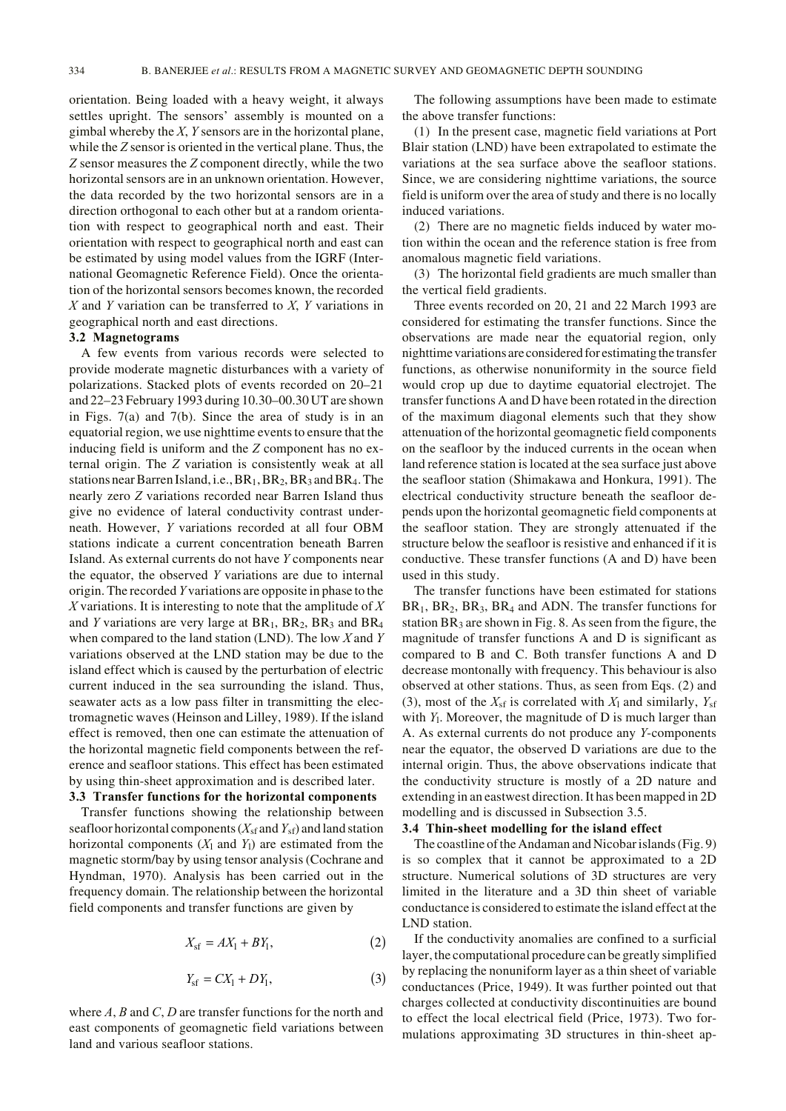orientation. Being loaded with a heavy weight, it always settles upright. The sensors' assembly is mounted on a gimbal whereby the *X*, *Y* sensors are in the horizontal plane, while the *Z* sensor is oriented in the vertical plane. Thus, the *Z* sensor measures the *Z* component directly, while the two horizontal sensors are in an unknown orientation. However, the data recorded by the two horizontal sensors are in a direction orthogonal to each other but at a random orientation with respect to geographical north and east. Their orientation with respect to geographical north and east can be estimated by using model values from the IGRF (International Geomagnetic Reference Field). Once the orientation of the horizontal sensors becomes known, the recorded *X* and *Y* variation can be transferred to *X*, *Y* variations in geographical north and east directions.

# **3.2 Magnetograms**

A few events from various records were selected to provide moderate magnetic disturbances with a variety of polarizations. Stacked plots of events recorded on 20–21 and 22–23 February 1993 during 10.30–00.30 UT are shown in Figs. 7(a) and 7(b). Since the area of study is in an equatorial region, we use nighttime events to ensure that the inducing field is uniform and the *Z* component has no external origin. The *Z* variation is consistently weak at all stations near Barren Island, i.e.,  $BR<sub>1</sub>$ ,  $BR<sub>2</sub>$ ,  $BR<sub>3</sub>$  and  $BR<sub>4</sub>$ . The nearly zero *Z* variations recorded near Barren Island thus give no evidence of lateral conductivity contrast underneath. However, *Y* variations recorded at all four OBM stations indicate a current concentration beneath Barren Island. As external currents do not have *Y* components near the equator, the observed *Y* variations are due to internal origin. The recorded *Y* variations are opposite in phase to the *X* variations. It is interesting to note that the amplitude of *X* and *Y* variations are very large at  $BR<sub>1</sub>$ ,  $BR<sub>2</sub>$ ,  $BR<sub>3</sub>$  and  $BR<sub>4</sub>$ when compared to the land station (LND). The low *X* and *Y* variations observed at the LND station may be due to the island effect which is caused by the perturbation of electric current induced in the sea surrounding the island. Thus, seawater acts as a low pass filter in transmitting the electromagnetic waves (Heinson and Lilley, 1989). If the island effect is removed, then one can estimate the attenuation of the horizontal magnetic field components between the reference and seafloor stations. This effect has been estimated by using thin-sheet approximation and is described later.

#### **3.3 Transfer functions for the horizontal components**

Transfer functions showing the relationship between seafloor horizontal components  $(X_{sf}$  and  $Y_{sf}$ ) and land station horizontal components  $(X_1$  and  $Y_1$ ) are estimated from the magnetic storm/bay by using tensor analysis (Cochrane and Hyndman, 1970). Analysis has been carried out in the frequency domain. The relationship between the horizontal field components and transfer functions are given by

$$
X_{\rm sf} = AX_1 + BY_1,\tag{2}
$$

$$
Y_{\rm sf} = CX_1 + DY_1,\tag{3}
$$

where *A*, *B* and *C*, *D* are transfer functions for the north and east components of geomagnetic field variations between land and various seafloor stations.

The following assumptions have been made to estimate the above transfer functions:

(1) In the present case, magnetic field variations at Port Blair station (LND) have been extrapolated to estimate the variations at the sea surface above the seafloor stations. Since, we are considering nighttime variations, the source field is uniform over the area of study and there is no locally induced variations.

(2) There are no magnetic fields induced by water motion within the ocean and the reference station is free from anomalous magnetic field variations.

(3) The horizontal field gradients are much smaller than the vertical field gradients.

Three events recorded on 20, 21 and 22 March 1993 are considered for estimating the transfer functions. Since the observations are made near the equatorial region, only nighttime variations are considered for estimating the transfer functions, as otherwise nonuniformity in the source field would crop up due to daytime equatorial electrojet. The transfer functions A and D have been rotated in the direction of the maximum diagonal elements such that they show attenuation of the horizontal geomagnetic field components on the seafloor by the induced currents in the ocean when land reference station is located at the sea surface just above the seafloor station (Shimakawa and Honkura, 1991). The electrical conductivity structure beneath the seafloor depends upon the horizontal geomagnetic field components at the seafloor station. They are strongly attenuated if the structure below the seafloor is resistive and enhanced if it is conductive. These transfer functions (A and D) have been used in this study.

The transfer functions have been estimated for stations  $BR<sub>1</sub>$ ,  $BR<sub>2</sub>$ ,  $BR<sub>3</sub>$ ,  $BR<sub>4</sub>$  and ADN. The transfer functions for station  $BR_3$  are shown in Fig. 8. As seen from the figure, the magnitude of transfer functions A and D is significant as compared to B and C. Both transfer functions A and D decrease montonally with frequency. This behaviour is also observed at other stations. Thus, as seen from Eqs. (2) and (3), most of the  $X_{sf}$  is correlated with  $X_1$  and similarly,  $Y_{sf}$ with *Y*<sub>l</sub>. Moreover, the magnitude of D is much larger than A. As external currents do not produce any *Y*-components near the equator, the observed D variations are due to the internal origin. Thus, the above observations indicate that the conductivity structure is mostly of a 2D nature and extending in an eastwest direction. It has been mapped in 2D modelling and is discussed in Subsection 3.5.

#### **3.4 Thin-sheet modelling for the island effect**

The coastline of the Andaman and Nicobar islands (Fig. 9) is so complex that it cannot be approximated to a 2D structure. Numerical solutions of 3D structures are very limited in the literature and a 3D thin sheet of variable conductance is considered to estimate the island effect at the LND station.

If the conductivity anomalies are confined to a surficial layer, the computational procedure can be greatly simplified by replacing the nonuniform layer as a thin sheet of variable conductances (Price, 1949). It was further pointed out that charges collected at conductivity discontinuities are bound to effect the local electrical field (Price, 1973). Two formulations approximating 3D structures in thin-sheet ap-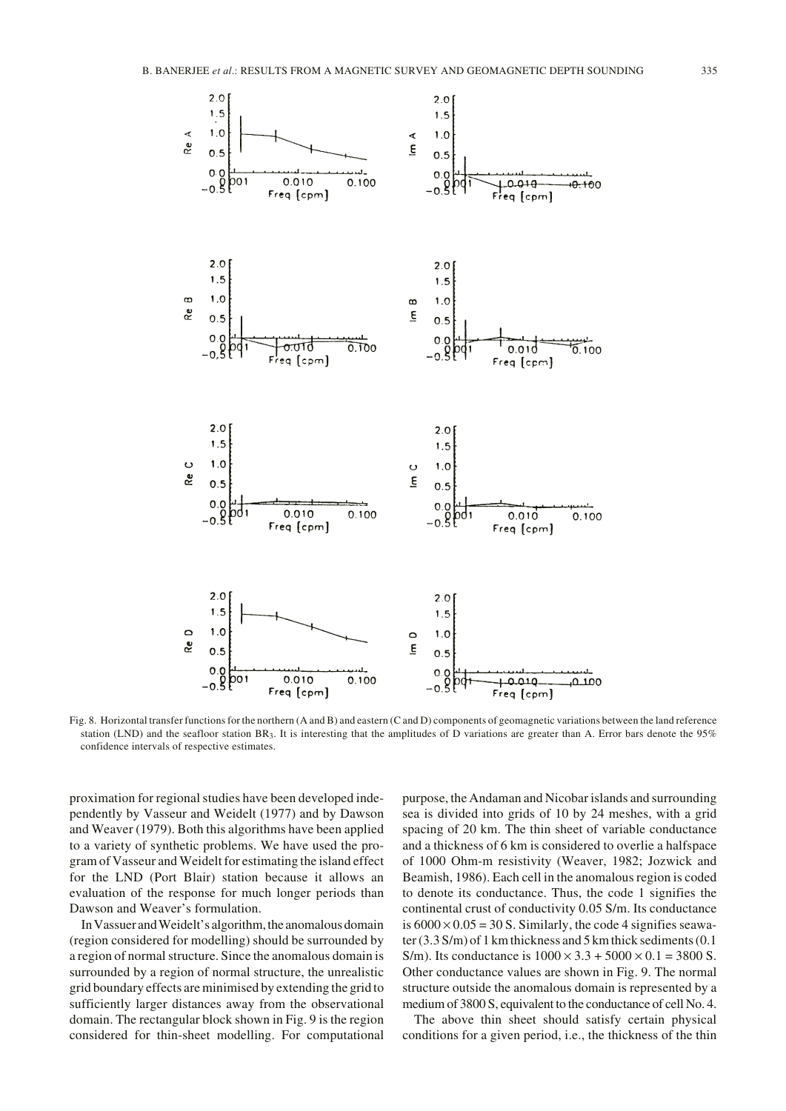

Fig. 8. Horizontal transfer functions for the northern (A and B) and eastern (C and D) components of geomagnetic variations between the land reference station (LND) and the seafloor station BR3. It is interesting that the amplitudes of D variations are greater than A. Error bars denote the 95% confidence intervals of respective estimates.

proximation for regional studies have been developed independently by Vasseur and Weidelt (1977) and by Dawson and Weaver (1979). Both this algorithms have been applied to a variety of synthetic problems. We have used the program of Vasseur and Weidelt for estimating the island effect for the LND (Port Blair) station because it allows an evaluation of the response for much longer periods than Dawson and Weaver's formulation.

In Vassuer and Weidelt's algorithm, the anomalous domain (region considered for modelling) should be surrounded by a region of normal structure. Since the anomalous domain is surrounded by a region of normal structure, the unrealistic grid boundary effects are minimised by extending the grid to sufficiently larger distances away from the observational domain. The rectangular block shown in Fig. 9 is the region considered for thin-sheet modelling. For computational

purpose, the Andaman and Nicobar islands and surrounding sea is divided into grids of 10 by 24 meshes, with a grid spacing of 20 km. The thin sheet of variable conductance and a thickness of 6 km is considered to overlie a halfspace of 1000 Ohm-m resistivity (Weaver, 1982; Jozwick and Beamish, 1986). Each cell in the anomalous region is coded to denote its conductance. Thus, the code 1 signifies the continental crust of conductivity 0.05 S/m. Its conductance is  $6000 \times 0.05 = 30$  S. Similarly, the code 4 signifies seawater (3.3 S/m) of 1 km thickness and 5 km thick sediments (0.1 S/m). Its conductance is  $1000 \times 3.3 + 5000 \times 0.1 = 3800$  S. Other conductance values are shown in Fig. 9. The normal structure outside the anomalous domain is represented by a medium of 3800 S, equivalent to the conductance of cell No. 4.

The above thin sheet should satisfy certain physical conditions for a given period, i.e., the thickness of the thin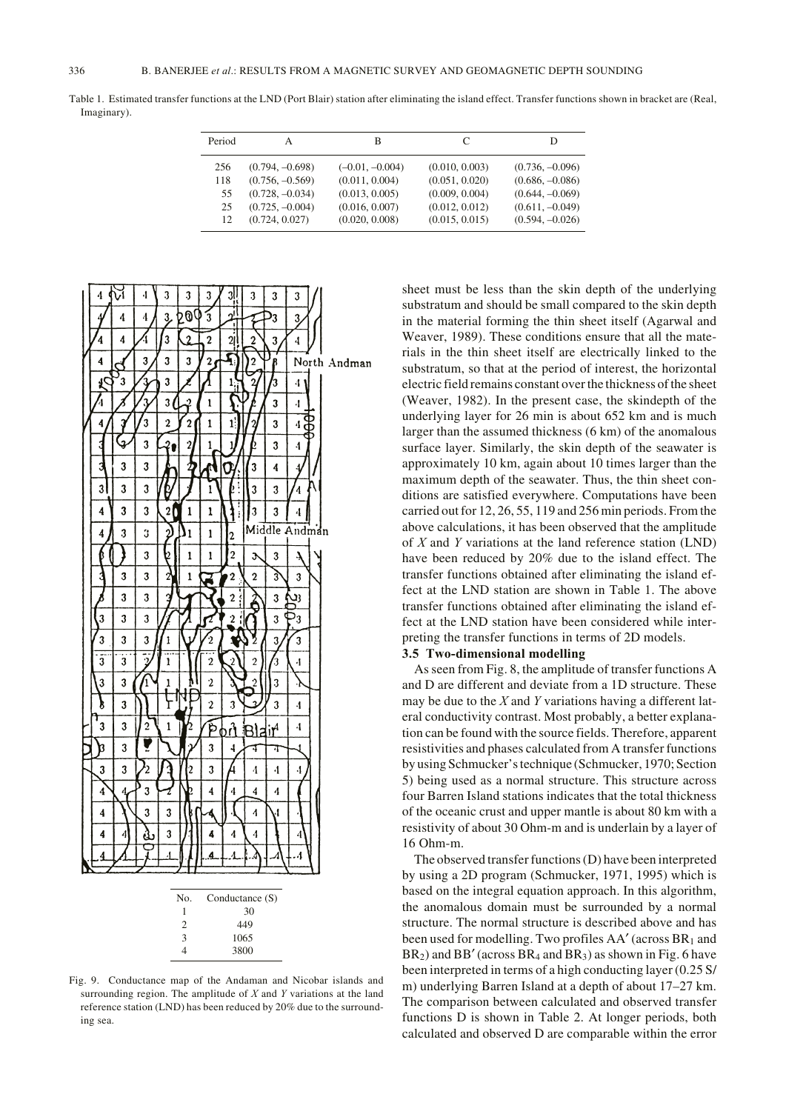Table 1. Estimated transfer functions at the LND (Port Blair) station after eliminating the island effect. Transfer functions shown in bracket are (Real, Imaginary).

| Period | А                 | В                 |                | D                 |
|--------|-------------------|-------------------|----------------|-------------------|
| 256    | $(0.794, -0.698)$ | $(-0.01, -0.004)$ | (0.010, 0.003) | $(0.736, -0.096)$ |
| 118    | $(0.756, -0.569)$ | (0.011, 0.004)    | (0.051, 0.020) | $(0.686, -0.086)$ |
| 55     | $(0.728, -0.034)$ | (0.013, 0.005)    | (0.009, 0.004) | $(0.644, -0.069)$ |
| 25     | $(0.725, -0.004)$ | (0.016, 0.007)    | (0.012, 0.012) | $(0.611, -0.049)$ |
| 12     | (0.724, 0.027)    | (0.020, 0.008)    | (0.015, 0.015) | $(0.594, -0.026)$ |



Fig. 9. Conductance map of the Andaman and Nicobar islands and surrounding region. The amplitude of *X* and *Y* variations at the land reference station (LND) has been reduced by 20% due to the surrounding sea.

sheet must be less than the skin depth of the underlying substratum and should be small compared to the skin depth in the material forming the thin sheet itself (Agarwal and Weaver, 1989). These conditions ensure that all the materials in the thin sheet itself are electrically linked to the substratum, so that at the period of interest, the horizontal electric field remains constant over the thickness of the sheet (Weaver, 1982). In the present case, the skindepth of the underlying layer for 26 min is about 652 km and is much larger than the assumed thickness (6 km) of the anomalous surface layer. Similarly, the skin depth of the seawater is approximately 10 km, again about 10 times larger than the maximum depth of the seawater. Thus, the thin sheet conditions are satisfied everywhere. Computations have been carried out for 12, 26, 55, 119 and 256 min periods. From the above calculations, it has been observed that the amplitude of *X* and *Y* variations at the land reference station (LND) have been reduced by 20% due to the island effect. The transfer functions obtained after eliminating the island effect at the LND station are shown in Table 1. The above transfer functions obtained after eliminating the island effect at the LND station have been considered while interpreting the transfer functions in terms of 2D models.

## **3.5 Two-dimensional modelling**

As seen from Fig. 8, the amplitude of transfer functions A and D are different and deviate from a 1D structure. These may be due to the *X* and *Y* variations having a different lateral conductivity contrast. Most probably, a better explanation can be found with the source fields. Therefore, apparent resistivities and phases calculated from A transfer functions by using Schmucker's technique (Schmucker, 1970; Section 5) being used as a normal structure. This structure across four Barren Island stations indicates that the total thickness of the oceanic crust and upper mantle is about 80 km with a resistivity of about 30 Ohm-m and is underlain by a layer of 16 Ohm-m.

The observed transfer functions (D) have been interpreted by using a 2D program (Schmucker, 1971, 1995) which is based on the integral equation approach. In this algorithm, the anomalous domain must be surrounded by a normal structure. The normal structure is described above and has been used for modelling. Two profiles  $AA'$  (across  $BR<sub>1</sub>$  and  $BR<sub>2</sub>$ ) and  $BB'$  (across  $BR<sub>4</sub>$  and  $BR<sub>3</sub>$ ) as shown in Fig. 6 have been interpreted in terms of a high conducting layer (0.25 S/ m) underlying Barren Island at a depth of about 17–27 km. The comparison between calculated and observed transfer functions D is shown in Table 2. At longer periods, both calculated and observed D are comparable within the error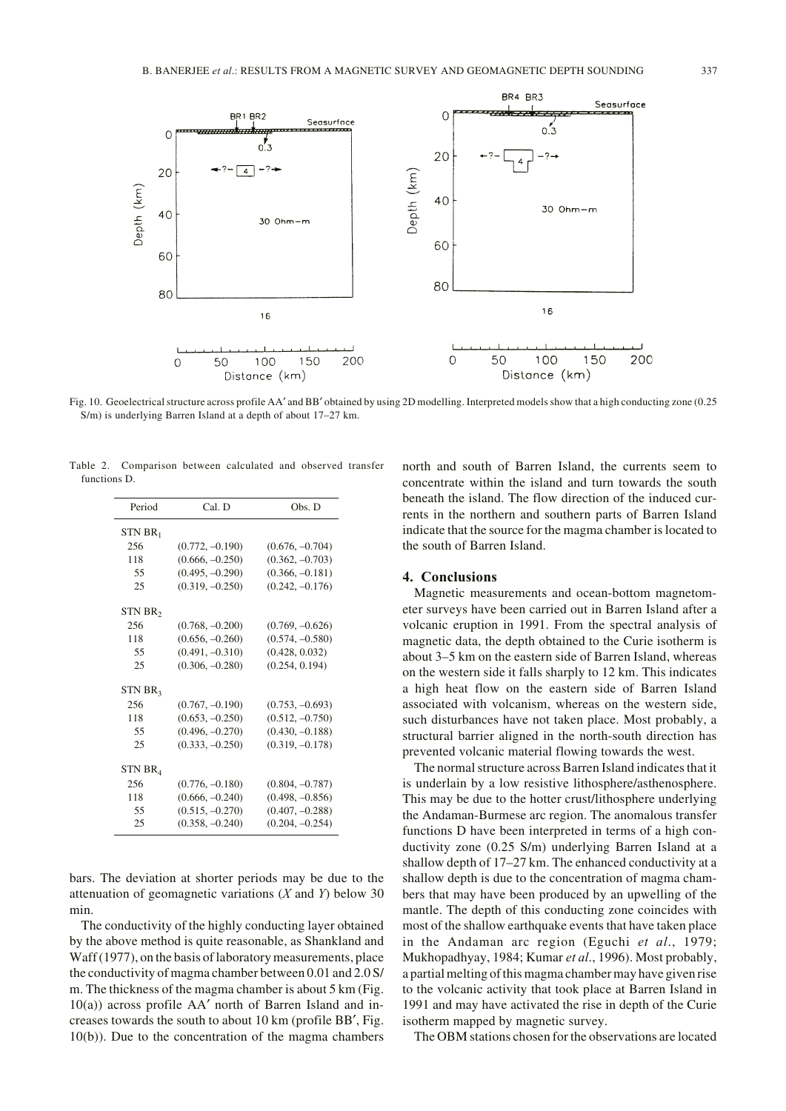

Fig. 10. Geoelectrical structure across profile AA′ and BB′ obtained by using 2D modelling. Interpreted models show that a high conducting zone (0.25 S/m) is underlying Barren Island at a depth of about 17–27 km.

Table 2. Comparison between calculated and observed transfer functions D.

| Period              | Cal. D            | Obs. D            |  |
|---------------------|-------------------|-------------------|--|
| $STN BR_1$          |                   |                   |  |
| 256                 | $(0.772, -0.190)$ | $(0.676, -0.704)$ |  |
| 118                 | $(0.666, -0.250)$ | $(0.362, -0.703)$ |  |
| 55                  | $(0.495, -0.290)$ | $(0.366, -0.181)$ |  |
| 25                  | $(0.319, -0.250)$ | $(0.242, -0.176)$ |  |
| STN BR <sub>2</sub> |                   |                   |  |
| 256                 | $(0.768, -0.200)$ | $(0.769, -0.626)$ |  |
| 118                 | $(0.656, -0.260)$ | $(0.574, -0.580)$ |  |
| 55                  | $(0.491, -0.310)$ | (0.428, 0.032)    |  |
| 25                  | $(0.306, -0.280)$ | (0.254, 0.194)    |  |
| STN BR <sub>3</sub> |                   |                   |  |
| 256                 | $(0.767, -0.190)$ | $(0.753, -0.693)$ |  |
| 118                 | $(0.653, -0.250)$ | $(0.512, -0.750)$ |  |
| 55                  | $(0.496, -0.270)$ | $(0.430, -0.188)$ |  |
| 25                  | $(0.333, -0.250)$ | $(0.319, -0.178)$ |  |
| STN BR4             |                   |                   |  |
| 256                 | $(0.776, -0.180)$ | $(0.804, -0.787)$ |  |
| 118                 | $(0.666, -0.240)$ | $(0.498, -0.856)$ |  |
| 55                  | $(0.515, -0.270)$ | $(0.407, -0.288)$ |  |
| 25                  | $(0.358, -0.240)$ | $(0.204, -0.254)$ |  |

bars. The deviation at shorter periods may be due to the attenuation of geomagnetic variations (*X* and *Y*) below 30 min.

The conductivity of the highly conducting layer obtained by the above method is quite reasonable, as Shankland and Waff (1977), on the basis of laboratory measurements, place the conductivity of magma chamber between 0.01 and 2.0 S/ m. The thickness of the magma chamber is about 5 km (Fig. 10(a)) across profile AA′ north of Barren Island and increases towards the south to about 10 km (profile BB′, Fig. 10(b)). Due to the concentration of the magma chambers

north and south of Barren Island, the currents seem to concentrate within the island and turn towards the south beneath the island. The flow direction of the induced currents in the northern and southern parts of Barren Island indicate that the source for the magma chamber is located to the south of Barren Island.

#### **4. Conclusions**

Magnetic measurements and ocean-bottom magnetometer surveys have been carried out in Barren Island after a volcanic eruption in 1991. From the spectral analysis of magnetic data, the depth obtained to the Curie isotherm is about 3–5 km on the eastern side of Barren Island, whereas on the western side it falls sharply to 12 km. This indicates a high heat flow on the eastern side of Barren Island associated with volcanism, whereas on the western side, such disturbances have not taken place. Most probably, a structural barrier aligned in the north-south direction has prevented volcanic material flowing towards the west.

The normal structure across Barren Island indicates that it is underlain by a low resistive lithosphere/asthenosphere. This may be due to the hotter crust/lithosphere underlying the Andaman-Burmese arc region. The anomalous transfer functions D have been interpreted in terms of a high conductivity zone (0.25 S/m) underlying Barren Island at a shallow depth of 17–27 km. The enhanced conductivity at a shallow depth is due to the concentration of magma chambers that may have been produced by an upwelling of the mantle. The depth of this conducting zone coincides with most of the shallow earthquake events that have taken place in the Andaman arc region (Eguchi *et al*., 1979; Mukhopadhyay, 1984; Kumar *et al*., 1996). Most probably, a partial melting of this magma chamber may have given rise to the volcanic activity that took place at Barren Island in 1991 and may have activated the rise in depth of the Curie isotherm mapped by magnetic survey.

The OBM stations chosen for the observations are located